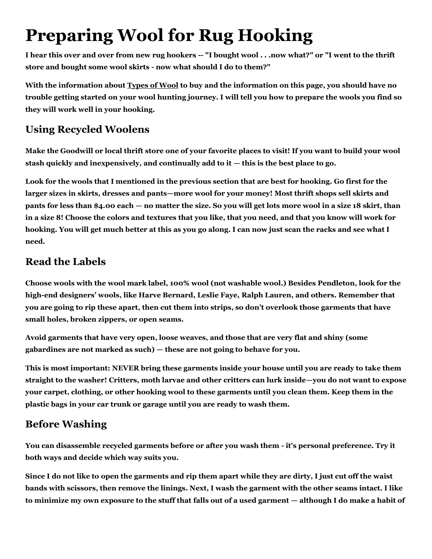# **Preparing Wool for Rug Hooking**

**I hear this over and over from new rug hookers -- "I bought wool . . .now what?" or "I went to the thrift store and bought some wool skirts - now what should I do to them?"**

**With the information about [Types of Wool](file:///C:/Users/Sally/Documents/~Expression-%20sites/www.amherst-antiques-folkart.com/RugHooking_WoolTypes.htm) to buy and the information on this page, you should have no trouble getting started on your wool hunting journey. I will tell you how to prepare the wools you find so they will work well in your hooking.**

### **Using Recycled Woolens**

**Make the Goodwill or local thrift store one of your favorite places to visit! If you want to build your wool stash quickly and inexpensively, and continually add to it — this is the best place to go.**

**Look for the wools that I mentioned in the previous section that are best for hooking. Go first for the larger sizes in skirts, dresses and pants—more wool for your money! Most thrift shops sell skirts and pants for less than \$4.00 each — no matter the size. So you will get lots more wool in a size 18 skirt, than in a size 8! Choose the colors and textures that you like, that you need, and that you know will work for hooking. You will get much better at this as you go along. I can now just scan the racks and see what I need.**

#### **Read the Labels**

**Choose wools with the wool mark label, 100% wool (not washable wool.) Besides Pendleton, look for the high-end designers' wools, like Harve Bernard, Leslie Faye, Ralph Lauren, and others. Remember that you are going to rip these apart, then cut them into strips, so don't overlook those garments that have small holes, broken zippers, or open seams.**

**Avoid garments that have very open, loose weaves, and those that are very flat and shiny (some gabardines are not marked as such) — these are not going to behave for you.**

**This is most important: NEVER bring these garments inside your house until you are ready to take them straight to the washer! Critters, moth larvae and other critters can lurk inside—you do not want to expose your carpet, clothing, or other hooking wool to these garments until you clean them. Keep them in the plastic bags in your car trunk or garage until you are ready to wash them.**

# **Before Washing**

**You can disassemble recycled garments before or after you wash them - it's personal preference. Try it both ways and decide which way suits you.**

**Since I do not like to open the garments and rip them apart while they are dirty, I just cut off the waist bands with scissors, then remove the linings. Next, I wash the garment with the other seams intact. I like to minimize my own exposure to the stuff that falls out of a used garment — although I do make a habit of**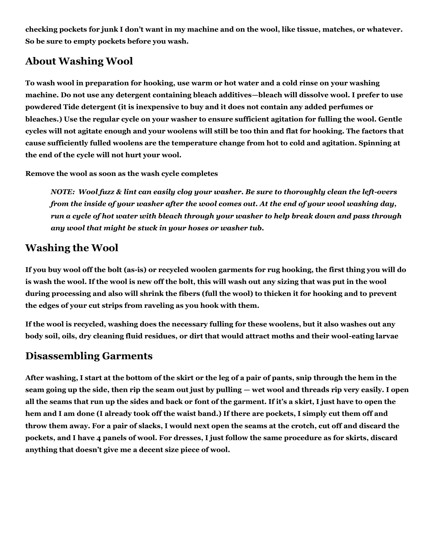**checking pockets for junk I don't want in my machine and on the wool, like tissue, matches, or whatever. So be sure to empty pockets before you wash.**

## **About Washing Wool**

**To wash wool in preparation for hooking, use warm or hot water and a cold rinse on your washing machine. Do not use any detergent containing bleach additives—bleach will dissolve wool. I prefer to use powdered Tide detergent (it is inexpensive to buy and it does not contain any added perfumes or bleaches.) Use the regular cycle on your washer to ensure sufficient agitation for fulling the wool. Gentle cycles will not agitate enough and your woolens will still be too thin and flat for hooking. The factors that cause sufficiently fulled woolens are the temperature change from hot to cold and agitation. Spinning at the end of the cycle will not hurt your wool.**

**Remove the wool as soon as the wash cycle completes**

*NOTE: Wool fuzz & lint can easily clog your washer. Be sure to thoroughly clean the left-overs from the inside of your washer after the wool comes out. At the end of your wool washing day, run a cycle of hot water with bleach through your washer to help break down and pass through any wool that might be stuck in your hoses or washer tub.*

#### **Washing the Wool**

**If you buy wool off the bolt (as-is) or recycled woolen garments for rug hooking, the first thing you will do is wash the wool. If the wool is new off the bolt, this will wash out any sizing that was put in the wool during processing and also will shrink the fibers (full the wool) to thicken it for hooking and to prevent the edges of your cut strips from raveling as you hook with them.**

**If the wool is recycled, washing does the necessary fulling for these woolens, but it also washes out any body soil, oils, dry cleaning fluid residues, or dirt that would attract moths and their wool-eating larvae**

#### **Disassembling Garments**

**After washing, I start at the bottom of the skirt or the leg of a pair of pants, snip through the hem in the seam going up the side, then rip the seam out just by pulling — wet wool and threads rip very easily. I open all the seams that run up the sides and back or font of the garment. If it's a skirt, I just have to open the hem and I am done (I already took off the waist band.) If there are pockets, I simply cut them off and throw them away. For a pair of slacks, I would next open the seams at the crotch, cut off and discard the pockets, and I have 4 panels of wool. For dresses, I just follow the same procedure as for skirts, discard anything that doesn't give me a decent size piece of wool.**